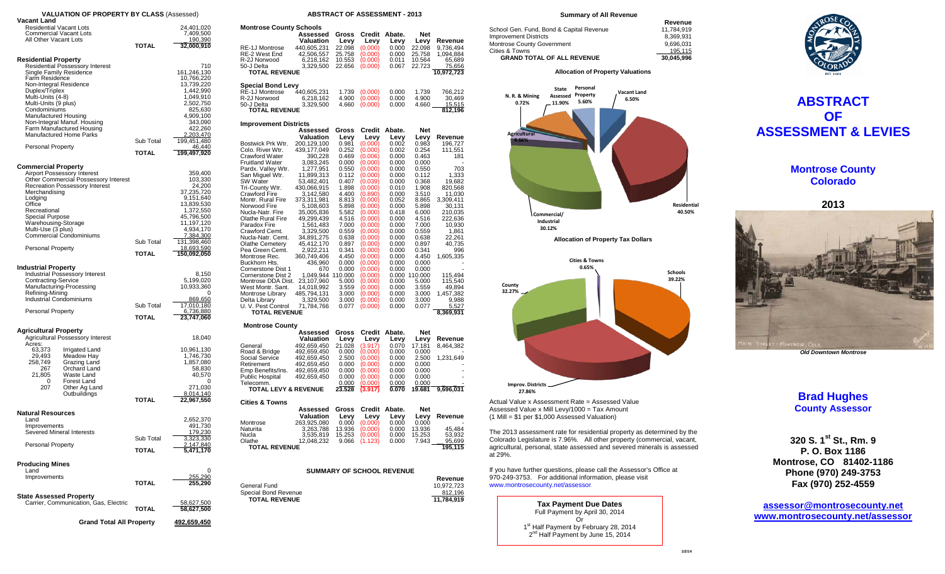| <b>VALUATION OF PROPERTY BY CLASS (Assessed)</b>                                                                                                                                                                                            |                           |                                                                                                 |                                                                                                                                                                                                    | <b>ABSTRACT OF ASSESSMENT - 2013</b>                                                                |                                                                                |                                                                                              |                                                                              |                                                                                |                                                                          |  |  |
|---------------------------------------------------------------------------------------------------------------------------------------------------------------------------------------------------------------------------------------------|---------------------------|-------------------------------------------------------------------------------------------------|----------------------------------------------------------------------------------------------------------------------------------------------------------------------------------------------------|-----------------------------------------------------------------------------------------------------|--------------------------------------------------------------------------------|----------------------------------------------------------------------------------------------|------------------------------------------------------------------------------|--------------------------------------------------------------------------------|--------------------------------------------------------------------------|--|--|
| Vacant Land<br><b>Residential Vacant Lots</b><br><b>Commercial Vacant Lots</b><br>All Other Vacant Lots                                                                                                                                     |                           | 24,401,020<br>7,409,500<br>190,390                                                              | <b>Montrose County Schools</b>                                                                                                                                                                     | Assessed Gross Credit Abate.                                                                        |                                                                                |                                                                                              |                                                                              | <b>Net</b>                                                                     |                                                                          |  |  |
|                                                                                                                                                                                                                                             | <b>TOTAL</b>              | 32,000,910                                                                                      | <b>RE-1J Montrose</b>                                                                                                                                                                              | Valuation<br>440,605,231                                                                            | Levy<br>22.098                                                                 | Levy<br>(0.000)                                                                              | Levy<br>0.000                                                                | Levy<br>22.098                                                                 | Revenue<br>9,736,494                                                     |  |  |
| <b>Residential Property</b><br>Residential Possessory Interest<br>Single Family Residence<br>Farm Residence                                                                                                                                 |                           | 710<br>161.246.130<br>10,766,220                                                                | RE-2 West End<br>R-2J Norwood<br>50-J Delta<br><b>TOTAL REVENUE</b>                                                                                                                                | 42,506,557<br>6.218.162<br>3,329,500                                                                | 25.758<br>10.553<br>22.656                                                     | (0.000)<br>(0.000)<br>(0.000)                                                                | 0.000<br>0.011<br>0.067                                                      | 25.758<br>10.564<br>22.723                                                     | 1,094,884<br>65,689<br>75,656<br>10,972,723                              |  |  |
| Non-Integral Residence<br>Duplex/Triplex<br>Multi-Units (4-8)<br>Multi-Units (9 plus)<br>Condominiums                                                                                                                                       |                           | 13,739,220<br>1,442,990<br>1,049,910<br>2,502,750<br>825,630                                    | <b>Special Bond Levy</b><br>RE-1J Montrose<br>R-2J Norwood<br>50-J Delta<br><b>TOTAL REVENUE</b>                                                                                                   | 440,605,231<br>6,218,162<br>3,329,500                                                               | 1.739<br>4.900<br>4.660                                                        | (0.000)<br>(0.000)<br>(0.000)                                                                | 0.000<br>0.000<br>0.000                                                      | 1.739<br>4.900<br>4.660                                                        | 766,212<br>30,469<br>15,515<br>812,196                                   |  |  |
| Manufactured Housing<br>Non-Integral Manuf. Housing<br>Farm Manufactured Housing<br><b>Manufactured Home Parks</b>                                                                                                                          |                           | 4.909.100<br>343,090<br>422,260<br>2,203,470                                                    | <b>Improvement Districts</b>                                                                                                                                                                       | Assessed                                                                                            |                                                                                | Gross Credit Abate.                                                                          |                                                                              | Net                                                                            |                                                                          |  |  |
| Personal Property                                                                                                                                                                                                                           | Sub Total                 | 199,451,480<br>46,440                                                                           | Bostwick Prk Wtr.                                                                                                                                                                                  | Valuation<br>200,129,100                                                                            | Levy<br>0.981                                                                  | Levy<br>(0.000)                                                                              | Levy<br>0.002                                                                | Levy<br>0.983                                                                  | Revenue<br>196,727                                                       |  |  |
|                                                                                                                                                                                                                                             | <b>TOTAL</b>              | 199,497,920                                                                                     | Colo. River Wtr.<br><b>Crawford Water</b><br><b>Fruitland Water</b>                                                                                                                                | 439,177,049<br>390,228<br>3,083,245                                                                 | 0.252<br>0.469<br>0.000                                                        | (0.000)<br>(0.006)<br>(0.000)                                                                | 0.002<br>0.000<br>0.000                                                      | 0.254<br>0.463<br>0.000                                                        | 111,551<br>181                                                           |  |  |
| <b>Commercial Property</b><br>Airport Possessory Interest<br>Other Commercial Possessory Interest<br>Recreation Possessory Interest<br>Merchandising<br>Lodging                                                                             |                           | 359,400<br>103,330<br>24,200<br>37,235,720<br>9,151,640                                         | Pardx. Valley Wtr.<br>San Miguel Wtr.<br>SW Water<br>Tri-County Wtr.<br>Crawford Fire                                                                                                              | 1,277,951<br>11,899,313<br>53,482,401<br>430,066,915<br>3,142,580                                   | 0.550<br>0.112<br>0.407<br>1.898<br>4.400                                      | (0.000)<br>(0.000)<br>(0.039)<br>(0.000)<br>(0.890)                                          | 0.000<br>0.000<br>0.000<br>0.010<br>0.000                                    | 0.550<br>0.112<br>0.368<br>1.908<br>3.510                                      | 703<br>1,333<br>19,682<br>820,568<br>11,030                              |  |  |
| Office<br>Recreational<br>Special Purpose<br>Warehousing-Storage<br>Multi-Use (3 plus)                                                                                                                                                      |                           | 13,839,530<br>1,372,550<br>45,796,500<br>11,197,120<br>4,934,170                                | Montr. Rural Fire<br>Norwood Fire<br>Nucla-Natr. Fire<br><b>Olathe Rural Fire</b><br>Paradox Fire                                                                                                  | 373,311,981<br>5,108,603<br>35,005,836<br>49,299,439<br>1,561,483<br>3,329,500                      | 8.813<br>5.898<br>5.582<br>4.516<br>7.000                                      | (0.000)<br>(0.000)<br>(0.000)<br>(0.000)<br>(0.000)<br>(0.000)                               | 0.052<br>0.000<br>0.418<br>0.000<br>0.000                                    | 8.865<br>5.898<br>6.000<br>4.516<br>7.000                                      | 3,309,411<br>30,131<br>210,035<br>222,636<br>10,930                      |  |  |
| <b>Commercial Condominiums</b><br><b>Personal Property</b>                                                                                                                                                                                  | Sub Total<br><b>TOTAL</b> | 7,384,300<br>131,398,460<br>18,693,590<br>150,092,050                                           | Crawford Cemt.<br>Nucla-Natr. Cemt.<br><b>Olathe Cemetery</b><br>Pea Green Cemt.<br>Montrose Rec.                                                                                                  | 34,891,275<br>45,412,170<br>2,922,211<br>360,749,406<br>436.960                                     | 0.559<br>0.638<br>0.897<br>0.341<br>4.450<br>0.000                             | (0.000)<br>(0.000)<br>(0.000)<br>(0.000)                                                     | 0.000<br>0.000<br>0.000<br>0.000<br>0.000<br>0.000                           | 0.559<br>0.638<br>0.897<br>0.341<br>4.450                                      | 1,861<br>22,261<br>40,735<br>996<br>1,605,335                            |  |  |
| <b>Industrial Property</b><br>Industrial Possessory Interest<br>Contracting-Service<br>Manufacturing-Processing<br>Refining-Mining<br>Industrial Condominiums<br><b>Personal Property</b>                                                   | Sub Total                 | 8,150<br>5,199,020<br>10,933,360<br>0<br>869,650<br>17,010,180<br>6,736,880                     | Buckhorn Hts.<br>Cornerstone Dist 1<br>Cornerstone Dist 2<br>Montrose DDA Dist. 23,107,960<br>West Montr. Sant.<br>Montrose Library<br>Delta Library<br>U. V. Pest Control<br><b>TOTAL REVENUE</b> | 670<br>1,049,944 110.000<br>14,018,992<br>485,794,131<br>3,329,500<br>71,784,766                    | 0.000<br>5.000<br>3.559<br>3.000<br>3.000<br>0.077                             | (0.000)<br>(0.000)<br>(0.000)<br>(0.000)<br>(0.000)<br>(0.000)<br>(0.000)<br>(0.000)         | 0.000<br>0.000<br>0.000<br>0.000<br>0.000<br>0.000<br>0.000                  | 0.000<br>0.000<br>110.000<br>5.000<br>3.559<br>3.000<br>3.000<br>0.077         | 115,494<br>115,540<br>49,894<br>1,457,382<br>9,988<br>5,527<br>8,369,931 |  |  |
|                                                                                                                                                                                                                                             | <b>TOTAL</b>              | 23,747,060                                                                                      |                                                                                                                                                                                                    |                                                                                                     |                                                                                |                                                                                              |                                                                              |                                                                                |                                                                          |  |  |
| <b>Agricultural Property</b>                                                                                                                                                                                                                |                           |                                                                                                 | <b>Montrose County</b>                                                                                                                                                                             | Assessed                                                                                            | Gross                                                                          | Credit Abate.                                                                                |                                                                              | Net                                                                            |                                                                          |  |  |
| <b>Agricultural Possessory Interest</b><br>Acres:<br>63,373<br>Irrigated Land<br>29,493<br>Meadow Hay<br>258,749<br>Grazing Land<br>267<br>Orchard Land<br>21,805<br>Waste Land<br>Forest Land<br>0<br>207<br>Other Ag Land<br>Outbuildings |                           | 18,040<br>10,961,130<br>1,746,730<br>1,857,080<br>58,830<br>40.570<br>0<br>271,030<br>8,014,140 | General<br>Road & Bridge<br>Social Service<br>Retirement<br>Emp Benefits/Ins.<br>Public Hospital<br>Telecomm.<br><b>TOTAL LEVY &amp; REVENUE</b>                                                   | Valuation<br>492,659,450<br>492,659,450<br>492,659,450<br>492,659,450<br>492,659,450<br>492,659,450 | Levy<br>21.028<br>0.000<br>2.500<br>0.000<br>0.000<br>0.000<br>0.000<br>23.528 | Levy<br>(3.917)<br>(0.000)<br>(0.000)<br>(0.000)<br>(0.000)<br>(0.000)<br>(0.000)<br>(3.917) | Levy<br>0.070<br>0.000<br>0.000<br>0.000<br>0.000<br>0.000<br>0.000<br>0.070 | Levy<br>17.181<br>0.000<br>2.500<br>0.000<br>0.000<br>0.000<br>0.000<br>19.681 | Revenue<br>8,464,382<br>1,231,649<br>9,696,031                           |  |  |
|                                                                                                                                                                                                                                             | <b>TOTAL</b>              | 22,967,550                                                                                      | <b>Cities &amp; Towns</b>                                                                                                                                                                          |                                                                                                     |                                                                                |                                                                                              |                                                                              |                                                                                |                                                                          |  |  |
| <b>Natural Resources</b><br>Land<br>Improvements<br>Severed Mineral Interests<br><b>Personal Property</b>                                                                                                                                   | Sub Total<br><b>TOTAL</b> | 2.652.370<br>491,730<br>179, <u>230</u><br>3,323,330<br>2,147,840<br>5,471,170                  | Montrose<br>Naturita<br>Nucla<br>Olathe<br><b>TOTAL REVENUE</b>                                                                                                                                    | Assessed<br>Valuation<br>263,925,080<br>3,263,788<br>3,535,819<br>12,048,232                        | Gross<br>Levy<br>0.000<br>13.936<br>15.253<br>9.066                            | Credit Abate.<br>Levy<br>(0.000)<br>(0.000)<br>(0.000)<br>(1.123)                            | Levy<br>0.000<br>0.000<br>0.000<br>0.000                                     | Net<br>Levy<br>0.000<br>13.936<br>15.253<br>7.943                              | Revenue<br>45,484<br>53,932<br>95,699<br>195,115                         |  |  |
| <b>Producing Mines</b>                                                                                                                                                                                                                      |                           |                                                                                                 |                                                                                                                                                                                                    |                                                                                                     |                                                                                |                                                                                              |                                                                              |                                                                                |                                                                          |  |  |
| Land<br>Improvements                                                                                                                                                                                                                        | <b>TOTAL</b>              | $\mathbf 0$<br>255,290<br>255,290                                                               | <b>SUMMARY OF SCHOOL REVENUE</b><br>General Fund<br>Special Bond Revenue                                                                                                                           |                                                                                                     |                                                                                |                                                                                              |                                                                              |                                                                                | Revenue<br>10,972,723<br>812,196                                         |  |  |
| <b>State Assessed Property</b><br>Carrier, Communication, Gas, Electric                                                                                                                                                                     | <b>TOTAL</b>              | 58,627,500<br>58,627,500                                                                        | <b>TOTAL REVENUE</b>                                                                                                                                                                               |                                                                                                     |                                                                                |                                                                                              |                                                                              |                                                                                | 11,784,919                                                               |  |  |
| <b>Grand Total All Property</b>                                                                                                                                                                                                             |                           | <u>492,659,450</u>                                                                              |                                                                                                                                                                                                    |                                                                                                     |                                                                                |                                                                                              |                                                                              |                                                                                |                                                                          |  |  |

#### **ABSTRACT OF ASSESSMENT - 2013**

| <b>Montrose County Schools</b>             |                            |                |                    |                                  |                |                      | School Gen. Fund, Bond & Capital Reve                                        |
|--------------------------------------------|----------------------------|----------------|--------------------|----------------------------------|----------------|----------------------|------------------------------------------------------------------------------|
|                                            | Assessed<br>Valuation      | Gross<br>Levy  | Levy               | Credit Abate.<br>Levy            | Net<br>Levy    | Revenue              | <b>Improvement Districts</b>                                                 |
| RE-1J Montrose                             | 440,605,231                | 22.098         | (0.000)            | 0.000                            | 22.098         | 9,736,494            | Montrose County Government                                                   |
| RE-2 West End                              | 42,506,557                 | 25.758         | (0.000)            | 0.000                            | 25.758         | 1,094,884            | Cities & Towns                                                               |
| R-2J Norwood                               | 6,218,162                  | 10.553         | (0.000)            | 0.011                            | 10.564         | 65,689               | <b>GRAND TOTAL OF ALL REVENUE</b>                                            |
| 50-J Delta<br><b>TOTAL REVENUE</b>         | 3,329,500                  | 22.656         | (0.000)            | 0.067                            | 22.723         | 75,656<br>10,972,723 | <b>Allocation of P</b>                                                       |
|                                            |                            |                |                    |                                  |                |                      |                                                                              |
| <b>Special Bond Levy</b><br>RE-1J Montrose | 440,605,231                | 1.739          | (0.000)            | 0.000                            | 1.739          | 766,212              | Personal<br>State<br><b>Assessed Property</b><br>N.R. & Mining               |
| R-2J Norwood                               | 6,218,162                  | 4.900          | (0.000)            | 0.000                            | 4.900          | 30,469               | 5.60%                                                                        |
| 50-J Delta                                 | 3,329,500                  | 4.660          | (0.000)            | 0.000                            | 4.660          | 15,515               | 0.72%<br>11.90%                                                              |
| <b>TOTAL REVENUE</b>                       |                            |                |                    |                                  |                | 812,196              |                                                                              |
| <b>Improvement Districts</b>               | Assessed                   | Gross          |                    | Credit Abate.                    | <b>Net</b>     |                      |                                                                              |
|                                            | Valuation                  | Levy           | Levy               | Levy                             | Levy           | Revenue              | <b>Agricultural</b><br>4.66%                                                 |
| Bostwick Prk Wtr.                          | 200,129,100                | 0.981          | (0.000)            | 0.002                            | 0.983          | 196,727              |                                                                              |
| Colo. River Wtr.                           | 439,177,049                | 0.252          | (0.000)            | 0.002                            | 0.254          | 111,551              |                                                                              |
| Crawford Water                             | 390,228                    | 0.469          | (0.006)            | 0.000                            | 0.463          | 181                  |                                                                              |
| <b>Fruitland Water</b>                     | 3,083,245                  | 0.000          | (0.000)            | 0.000                            | 0.000          |                      |                                                                              |
| Pardx. Valley Wtr.                         | 1,277,951                  | 0.550          | (0.000)            | 0.000                            | 0.550          | 703                  |                                                                              |
| San Miguel Wtr.                            | 11,899,313                 | 0.112          | (0.000)            | 0.000                            | 0.112          | 1,333                |                                                                              |
| SW Water                                   | 53,482,401                 | 0.407          | (0.039)            | 0.000                            | 0.368          | 19,682               |                                                                              |
| Tri-County Wtr.<br>Crawford Fire           | 430,066,915<br>3,142,580   | 1.898<br>4.400 | (0.000)<br>(0.890) | 0.010<br>0.000                   | 1.908<br>3.510 | 820,568<br>11,030    |                                                                              |
| Montr. Rural Fire                          | 373,311,981                | 8.813          | (0.000)            | 0.052                            | 8.865          | 3,309,411            |                                                                              |
| Norwood Fire                               | 5,108,603                  | 5.898          | (0.000)            | 0.000                            | 5.898          | 30,131               |                                                                              |
| Nucla-Natr. Fire                           | 35,005,836                 | 5.582          | (0.000)            | 0.418                            | 6.000          | 210,035              |                                                                              |
| Olathe Rural Fire                          | 49,299,439                 | 4.516          | (0.000)            | 0.000                            | 4.516          | 222,636              | Commercial/                                                                  |
| Paradox Fire                               | 1,561,483                  | 7.000          | (0.000)            | 0.000                            | 7.000          | 10,930               | Industrial                                                                   |
| Crawford Cemt.                             | 3,329,500                  | 0.559          | (0.000)            | 0.000                            | 0.559          | 1,861                | 30.12%                                                                       |
| Nucla-Natr. Cemt.                          | 34,891,275                 | 0.638          | (0.000)            | 0.000                            | 0.638          | 22,261               | <b>Allocation of Pr</b>                                                      |
| <b>Olathe Cemetery</b>                     | 45,412,170                 | 0.897          | (0.000)            | 0.000                            | 0.897          | 40,735               |                                                                              |
| Pea Green Cemt.                            | 2,922,211                  | 0.341          | (0.000)            | 0.000                            | 0.341          | 996                  |                                                                              |
| Montrose Rec.                              | 360,749,406                | 4.450          | (0.000)            | 0.000                            | 4.450          | 1,605,335            |                                                                              |
| Buckhorn Hts.                              | 436,960                    | 0.000          | (0.000)            | 0.000                            | 0.000          |                      | <b>Cities &amp; Tow</b>                                                      |
| Cornerstone Dist 1                         | 670                        | 0.000          | (0.000)            | 0.000                            | 0.000          |                      | 0.65%                                                                        |
| Cornerstone Dist 2                         | 1,049,944 110.000          |                | (0.000)            |                                  | 0.000 110.000  | 115,494              |                                                                              |
| Montrose DDA Dist. 23,107,960              |                            | 5.000          | (0.000)            | 0.000                            | 5.000          | 115,540              | County                                                                       |
| West Montr. Sant.                          | 14,018,992                 | 3.559          | (0.000)            | 0.000                            | 3.559          | 49,894               | 32.27%                                                                       |
| <b>Montrose Library</b>                    | 485,794,131                | 3.000          | (0.000)            | 0.000                            | 3.000          | 1,457,382            |                                                                              |
| Delta Library                              | 3,329,500                  | 3.000          | (0.000)<br>(0.000) | 0.000<br>0.000                   | 3.000<br>0.077 | 9,988                |                                                                              |
| U. V. Pest Control<br><b>TOTAL REVENUE</b> | 71,784,766                 | 0.077          |                    |                                  |                | 5,527<br>8,369,931   |                                                                              |
| <b>Montrose County</b>                     |                            |                |                    |                                  |                |                      |                                                                              |
|                                            | Assessed                   | Gross          |                    | Credit Abate.                    | Net            |                      |                                                                              |
|                                            | Valuation                  | Levy           | Levy               | Levy                             | Levy           | Revenue              |                                                                              |
| General                                    | 492,659,450                | 21.028         | (3.917)            | 0.070                            | 17.181         | 8,464,382            |                                                                              |
| Road & Bridge                              | 492,659,450                | 0.000          | (0.000)            | 0.000                            | 0.000          |                      |                                                                              |
| Social Service                             | 492,659,450                | 2.500          | (0.000)<br>(0.000) | 0.000                            | 2.500          | 1,231,649            |                                                                              |
| Retirement                                 | 492,659,450<br>492,659,450 | 0.000<br>0.000 | (0.000)            | 0.000<br>0.000                   | 0.000<br>0.000 |                      |                                                                              |
| Emp Benefits/Ins.<br>Public Hospital       | 492,659,450                | 0.000          | (0.000)            | 0.000                            | 0.000          |                      |                                                                              |
| Telecomm.                                  |                            | 0.000          | (0.000)            | 0.000                            | 0.000          |                      |                                                                              |
| <b>TOTAL LEVY &amp; REVENUE</b>            |                            | 23.528         | (3.917)            | 0.070                            | 19.681         | 9,696,031            | Improv. Districts<br>27.86%                                                  |
| <b>Cities &amp; Towns</b>                  |                            |                |                    |                                  |                |                      | Actual Value x Assessment Rate = As                                          |
|                                            | Assessed                   | Gross          |                    | Credit Abate.                    | Net            |                      | Assessed Value x Mill Levy/1000 = Ta                                         |
|                                            | Valuation                  | Levy           | Levy               | Levy                             | Levy           | Revenue              | $(1$ Mill = \$1 per \$1,000 Assessed Valu                                    |
| Montrose                                   | 263,925,080                | 0.000          | (0.000)            | 0.000                            | 0.000          |                      |                                                                              |
| Naturita                                   | 3,263,788                  | 13.936         | (0.000)            | 0.000                            | 13.936         | 45,484               |                                                                              |
| Nucla                                      | 3,535,819                  | 15.253         | (0.000)            | 0.000                            | 15.253         | 53,932               | The 2013 assessment rate for resider                                         |
| Olathe                                     | 12,048,232                 | 9.066          | (1.123)            | 0.000                            | 7.943          | 95,699               | Colorado Legislature is 7.96%. All of                                        |
| <b>TOTAL REVENUE</b>                       |                            |                |                    |                                  |                | 195,115              | agricultural, personal, state assessed<br>at 29%.                            |
|                                            |                            |                |                    |                                  |                |                      |                                                                              |
|                                            |                            |                |                    | <b>SUMMARY OF SCHOOL REVENUE</b> |                |                      | If you have further questions, please<br>970-249-3753. For additional inform |
|                                            |                            |                |                    |                                  |                | Revenue              |                                                                              |
| General Fund                               |                            |                |                    |                                  |                | 10,972,723           | www.montrosecounty.net/assessor.                                             |
| Special Bond Revenue                       |                            |                |                    |                                  |                | 812.196              |                                                                              |

### **Summary of All Revenue** School Gen. Fund, Bond & Capital Revenue 11,784,919<br>Improvement Districts 8.369.931 Improvement Districts 8,369,931 Montrose County Government 9,696,031<br>Cities & Towns (195,115) Cities & Towns 195,115<br>
GRAND TOTAL OF ALL REVENUE 30,045,996 **GRAND TOTAL OF ALL REVENUE 30,045,996**

#### **Allocation of Property Valuations**

**Revenue**<br>11,784,919



**Allocation of Property Tax Dollars**



Actual Value x Assessment Rate = Assessed Value Assessed Value x Mill Levy/1000 = Tax Amount (1 Mill = \$1 per \$1,000 Assessed Valuation)

The 2013 assessment rate for residential property as determined by the Colorado Legislature is 7.96%. All other property (commercial, vacant, agricultural, personal, state assessed and severed minerals is assessed at 29%.

If you have further questions, please call the Assessor's Office at 970-249-3753. For additional information, please visit www.montrosecounty.net/assessor.

> **Tax Payment Due Dates** Full Payment by April 30, 2014 Or 1st Half Payment by February 28, 2014 2<sup>nd</sup> Half Payment by June 15, 2014



# **ABSTRACT OF ASSESSMENT & LEVIES**

**Montrose County Colorado**

**2013**



*Old Downtown Montrose*

## **Brad Hughes County Assessor**

**320 S. 1st St., Rm. 9 P. O. Box 1186 Montrose, CO 81402-1186 Phone (970) 249-3753 Fax (970) 252-4559**

**[assessor@montrosecounty.net](mailto:assessor@montrosecounty.net) [www.montrosecounty.net/assessor](http://www.montrosecounty.net/assessor)**